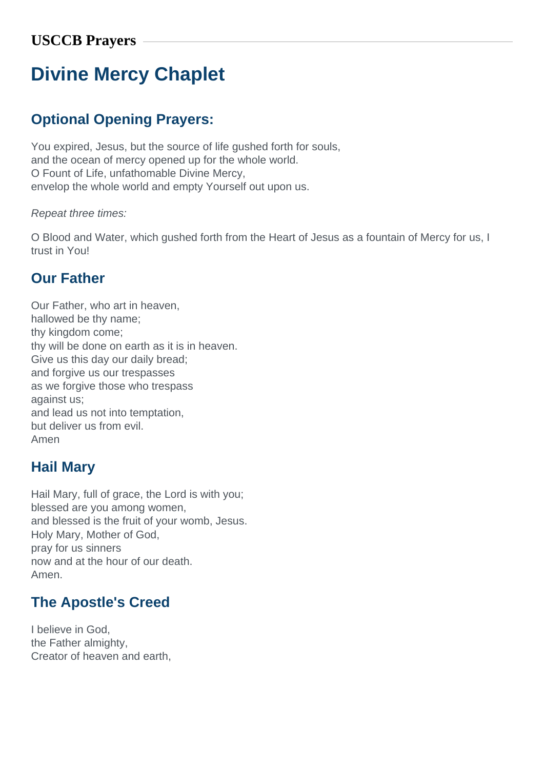# **Divine Mercy Chaplet**

# **Optional Opening Prayers:**

You expired, Jesus, but the source of life gushed forth for souls, and the ocean of mercy opened up for the whole world. O Fount of Life, unfathomable Divine Mercy, envelop the whole world and empty Yourself out upon us.

#### Repeat three times:

O Blood and Water, which gushed forth from the Heart of Jesus as a fountain of Mercy for us, I trust in You!

#### **Our Father**

Our Father, who art in heaven, hallowed be thy name; thy kingdom come; thy will be done on earth as it is in heaven. Give us this day our daily bread; and forgive us our trespasses as we forgive those who trespass against us; and lead us not into temptation, but deliver us from evil. Amen

### **Hail Mary**

Hail Mary, full of grace, the Lord is with you; blessed are you among women, and blessed is the fruit of your womb, Jesus. Holy Mary, Mother of God, pray for us sinners now and at the hour of our death. Amen.

## **The Apostle's Creed**

I believe in God, the Father almighty, Creator of heaven and earth,